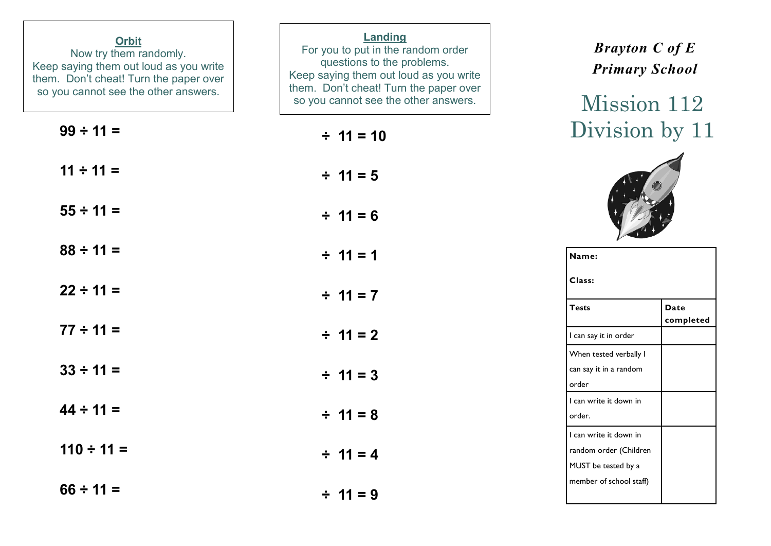| <b>Orbit</b><br>Now try them randomly.<br>Keep saying them out loud as you write<br>them. Don't cheat! Turn the paper over<br>so you cannot see the other answers. | Landing<br>For you to put in the random order<br>questions to the problems.<br>Keep saying them out loud as you write<br>them. Don't cheat! Turn the paper over<br>so you cannot see the other answers. | <b>Brayton C of E</b><br><b>Primary School</b><br>Mission 112           |
|--------------------------------------------------------------------------------------------------------------------------------------------------------------------|---------------------------------------------------------------------------------------------------------------------------------------------------------------------------------------------------------|-------------------------------------------------------------------------|
| $99 \div 11 =$                                                                                                                                                     | $\div$ 11 = 10                                                                                                                                                                                          | Division by 11                                                          |
| $11 \div 11 =$                                                                                                                                                     | $\div$ 11 = 5                                                                                                                                                                                           |                                                                         |
| $55 \div 11 =$                                                                                                                                                     | $\div$ 11 = 6                                                                                                                                                                                           |                                                                         |
| $88 \div 11 =$                                                                                                                                                     | $\div$ 11 = 1                                                                                                                                                                                           | Name:                                                                   |
| $22 \div 11 =$                                                                                                                                                     | $\div$ 11 = 7                                                                                                                                                                                           | Class:<br><b>Tests</b><br><b>Date</b>                                   |
| $77 \div 11 =$                                                                                                                                                     | $\div$ 11 = 2                                                                                                                                                                                           | completed<br>I can say it in order                                      |
| $33 \div 11 =$                                                                                                                                                     | $\div$ 11 = 3                                                                                                                                                                                           | When tested verbally I<br>can say it in a random<br>order               |
| $44 \div 11 =$                                                                                                                                                     | $\div$ 11 = 8                                                                                                                                                                                           | I can write it down in<br>order.                                        |
| $110 \div 11 =$                                                                                                                                                    | $\div$ 11 = 4                                                                                                                                                                                           | I can write it down in<br>random order (Children<br>MUST be tested by a |
| $66 \div 11 =$                                                                                                                                                     | $\div$ 11 = 9                                                                                                                                                                                           | member of school staff)                                                 |